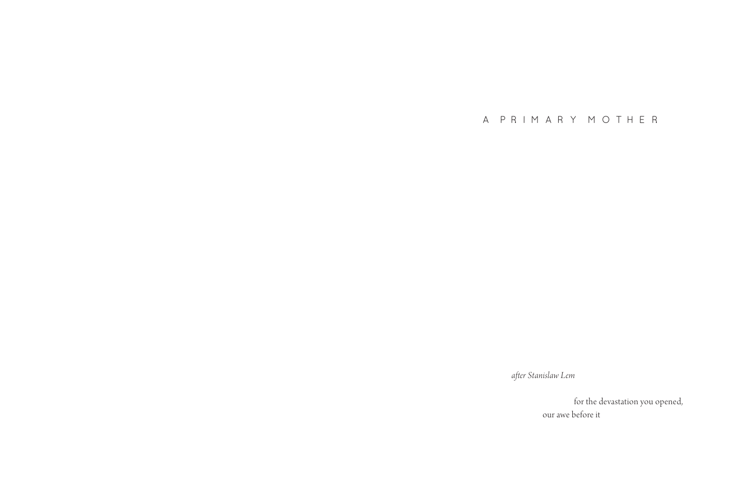A PRIMARY MOTHER

*after Stanislaw Lem*

 for the devastation you opened, our awe before it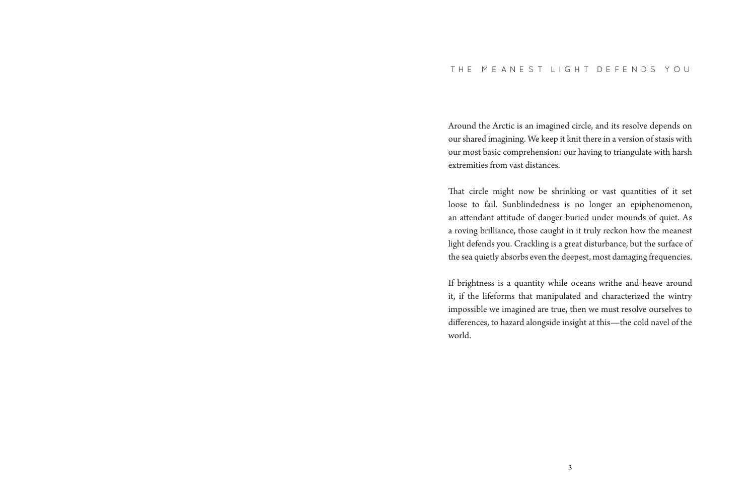#### THE MEANEST LIGHT DEFENDS YOU

Around the Arctic is an imagined circle, and its resolve depends on our shared imagining. We keep it knit there in a version of stasis with our most basic comprehension: our having to triangulate with harsh extremities from vast distances.

That circle might now be shrinking or vast quantities of it set loose to fail. Sunblindedness is no longer an epiphenomenon, an attendant attitude of danger buried under mounds of quiet. As a roving brilliance, those caught in it truly reckon how the meanest light defends you. Crackling is a great disturbance, but the surface of the sea quietly absorbs even the deepest, most damaging frequencies.

If brightness is a quantity while oceans writhe and heave around it, if the lifeforms that manipulated and characterized the wintry impossible we imagined are true, then we must resolve ourselves to differences, to hazard alongside insight at this—the cold navel of the world.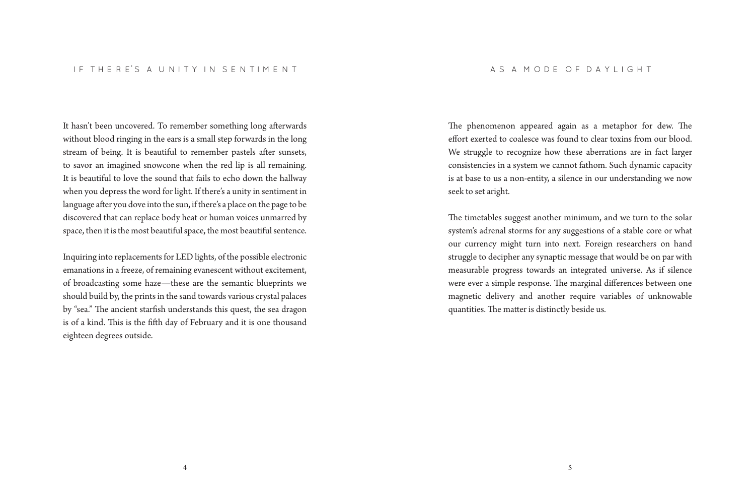#### IF THERES A UNITY IN SENTIMENT

It hasn't been uncovered. To remember something long afterwards without blood ringing in the ears is a small step forwards in the long stream of being. It is beautiful to remember pastels after sunsets, to savor an imagined snowcone when the red lip is all remaining. It is beautiful to love the sound that fails to echo down the hallway when you depress the word for light. If there's a unity in sentiment in language after you dove into the sun, if there's a place on the page to be discovered that can replace body heat or human voices unmarred by space, then it is the most beautiful space, the most beautiful sentence.

Inquiring into replacements for LED lights, of the possible electronic emanations in a freeze, of remaining evanescent without excitement, of broadcasting some haze—these are the semantic blueprints we should build by, the prints in the sand towards various crystal palaces by "sea." The ancient starfish understands this quest, the sea dragon is of a kind. This is the fifth day of February and it is one thousand eighteen degrees outside.

The phenomenon appeared again as a metaphor for dew. The effort exerted to coalesce was found to clear toxins from our blood. We struggle to recognize how these aberrations are in fact larger consistencies in a system we cannot fathom. Such dynamic capacity is at base to us a non-entity, a silence in our understanding we now seek to set aright.

The timetables suggest another minimum, and we turn to the solar system's adrenal storms for any suggestions of a stable core or what our currency might turn into next. Foreign researchers on hand struggle to decipher any synaptic message that would be on par with measurable progress towards an integrated universe. As if silence were ever a simple response. The marginal differences between one magnetic delivery and another require variables of unknowable quantities. The matter is distinctly beside us.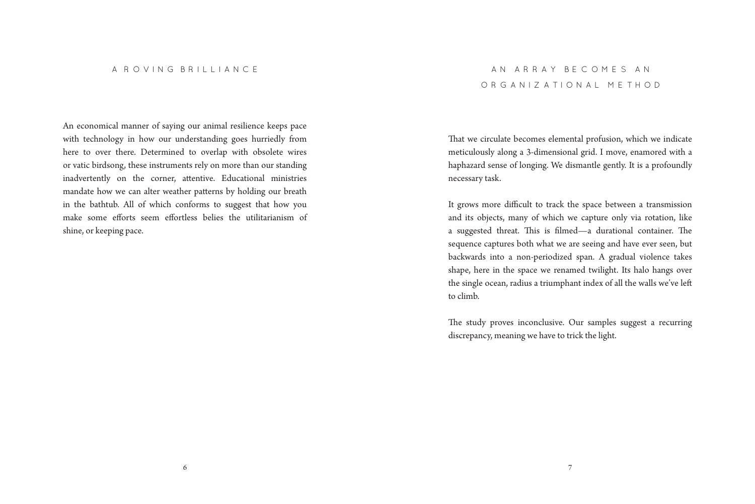An economical manner of saying our animal resilience keeps pace with technology in how our understanding goes hurriedly from here to over there. Determined to overlap with obsolete wires or vatic birdsong, these instruments rely on more than our standing inadvertently on the corner, attentive. Educational ministries mandate how we can alter weather patterns by holding our breath in the bathtub. All of which conforms to suggest that how you make some efforts seem effortless belies the utilitarianism of shine, or keeping pace.

## AN ARRAY BECOMES AN ORGANIZATIONAL METHOD

That we circulate becomes elemental profusion, which we indicate meticulously along a 3-dimensional grid. I move, enamored with a haphazard sense of longing. We dismantle gently. It is a profoundly necessary task.

It grows more difficult to track the space between a transmission and its objects, many of which we capture only via rotation, like a suggested threat. This is filmed—a durational container. The sequence captures both what we are seeing and have ever seen, but backwards into a non-periodized span. A gradual violence takes shape, here in the space we renamed twilight. Its halo hangs over the single ocean, radius a triumphant index of all the walls we've left to climb.

The study proves inconclusive. Our samples suggest a recurring discrepancy, meaning we have to trick the light.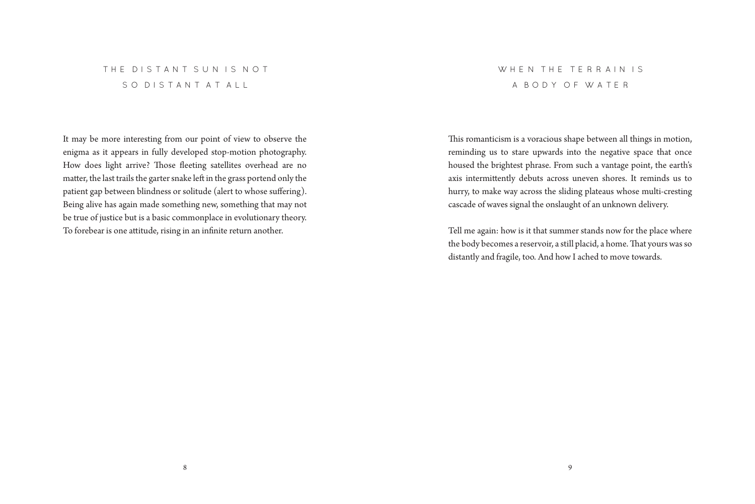## THE DISTANT SUN IS NOT SO DISTANT AT ALL

It may be more interesting from our point of view to observe the enigma as it appears in fully developed stop-motion photography. How does light arrive? Those fleeting satellites overhead are no matter, the last trails the garter snake left in the grass portend only the patient gap between blindness or solitude (alert to whose suffering). Being alive has again made something new, something that may not be true of justice but is a basic commonplace in evolutionary theory. To forebear is one attitude, rising in an infinite return another.

# WHEN THE TERRAIN IS A BODY OF WATER

This romanticism is a voracious shape between all things in motion, reminding us to stare upwards into the negative space that once housed the brightest phrase. From such a vantage point, the earth's axis intermittently debuts across uneven shores. It reminds us to hurry, to make way across the sliding plateaus whose multi-cresting cascade of waves signal the onslaught of an unknown delivery.

Tell me again: how is it that summer stands now for the place where the body becomes a reservoir, a still placid, a home. That yours was so distantly and fragile, too. And how I ached to move towards.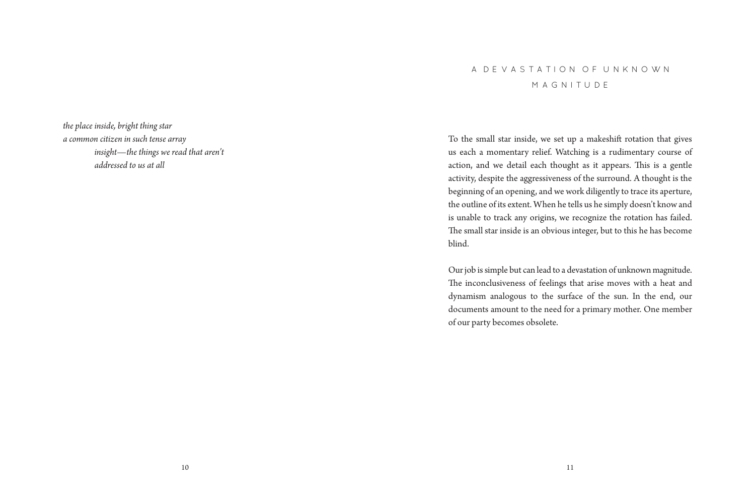*the place inside, bright thing star a common citizen in such tense array insight—the things we read that aren't addressed to us at all*

# A DEVASTATION OF UNKNOWN MAGNITUDE

To the small star inside, we set up a makeshift rotation that gives us each a momentary relief. Watching is a rudimentary course of action, and we detail each thought as it appears. This is a gentle activity, despite the aggressiveness of the surround. A thought is the beginning of an opening, and we work diligently to trace its aperture, the outline of its extent. When he tells us he simply doesn't know and is unable to track any origins, we recognize the rotation has failed. The small star inside is an obvious integer, but to this he has become blind.

Our job is simple but can lead to a devastation of unknown magnitude. The inconclusiveness of feelings that arise moves with a heat and dynamism analogous to the surface of the sun. In the end, our documents amount to the need for a primary mother. One member of our party becomes obsolete.